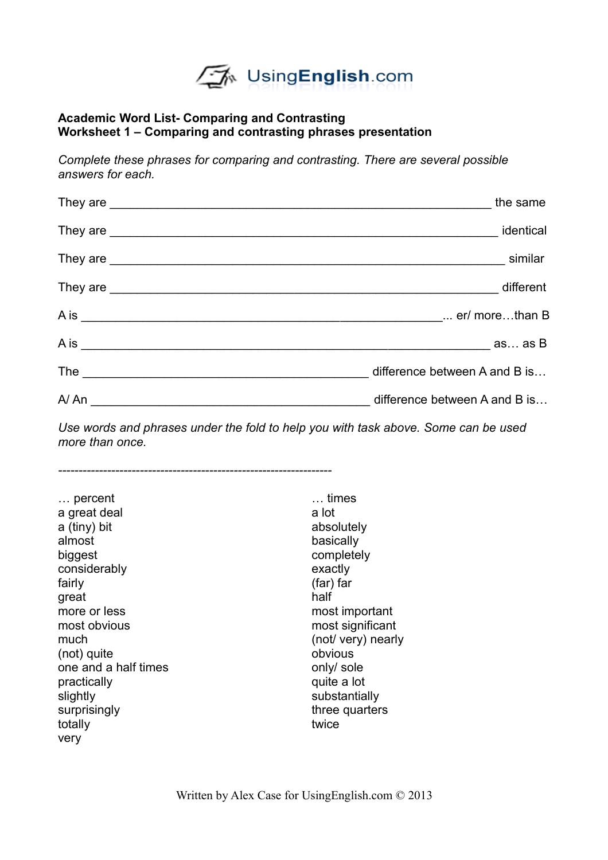UsingEnglish.com

#### **Academic Word List- Comparing and Contrasting Worksheet 1 – Comparing and contrasting phrases presentation**

*Complete these phrases for comparing and contrasting. There are several possible answers for each.*

| the same |
|----------|
|          |
| similar  |
|          |
|          |
|          |
|          |
|          |

*Use words and phrases under the fold to help you with task above. Some can be used more than once.*

*-------------------------------------------------------------------*

… percent … times a great deal a lot a (tiny) bit absolutely almost basically biggest completely considerably exactly fairly (far) far great half more or less most important most obvious most significant much (not/ very) nearly (not) quite obvious one and a half times only sole practically **practically practically practically quite a lot** slightly substantially surprisingly surprisingly three quarters totally totally twice very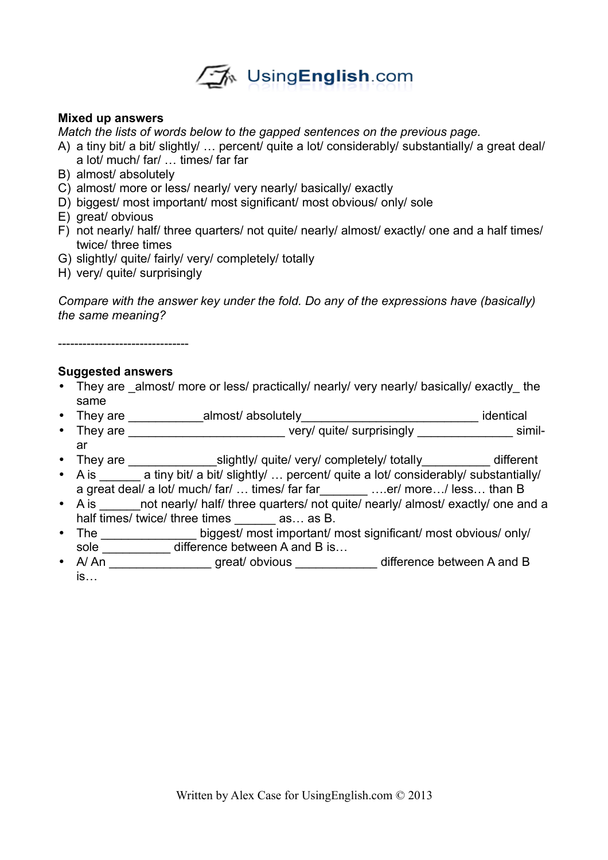

### **Mixed up answers**

*Match the lists of words below to the gapped sentences on the previous page.*

- A) a tiny bit/ a bit/ slightly/ ... percent/ quite a lot/ considerably/ substantially/ a great deal/ a lot/ much/ far/ … times/ far far
- B) almost/ absolutely
- C) almost/ more or less/ nearly/ very nearly/ basically/ exactly
- D) biggest/ most important/ most significant/ most obvious/ only/ sole
- E) great/ obvious
- F) not nearly/ half/ three quarters/ not quite/ nearly/ almost/ exactly/ one and a half times/ twice/ three times
- G) slightly/ quite/ fairly/ very/ completely/ totally
- H) very/ quite/ surprisingly

*Compare with the answer key under the fold. Do any of the expressions have (basically) the same meaning?*

--------------------------------

# **Suggested answers**

- They are almost/ more or less/ practically/ nearly/ very nearly/ basically/ exactly the same
- They are \_\_\_\_\_\_\_\_\_\_\_almost/ absolutely\_\_\_\_\_\_\_\_\_\_\_\_\_\_\_\_\_\_\_\_\_\_\_\_\_\_ identical
- They are \_\_\_\_\_\_\_\_\_\_\_\_\_\_\_\_\_\_\_\_\_\_\_\_\_\_\_\_ very/ quite/ surprisingly \_\_\_\_\_\_\_\_\_\_\_\_\_\_\_ similar
- They are \_\_\_\_\_\_\_\_\_\_\_\_\_\_\_\_\_\_\_\_\_\_slightly/ quite/ very/ completely/ totally\_\_\_\_\_\_\_\_\_\_\_ different
- A is \_\_\_\_\_\_ a tiny bit/ a bit/ slightly/ ... percent/ quite a lot/ considerably/ substantially/ a great deal/ a lot/ much/ far/ … times/ far far\_\_\_\_\_\_\_ ….er/ more…/ less… than B
- A is \_\_\_\_\_\_ not nearly/ half/ three quarters/ not quite/ nearly/ almost/ exactly/ one and a half times/ twice/ three times as... as B.
- The \_\_\_\_\_\_\_\_\_\_\_\_\_\_\_\_\_ biggest/ most important/ most significant/ most obvious/ only/ sole \_\_\_\_\_\_\_\_\_\_\_ difference between A and B is...
- A/ An \_\_\_\_\_\_\_\_\_\_\_\_\_\_\_\_\_\_\_ great/ obvious \_\_\_\_\_\_\_\_\_\_\_\_\_\_ difference between A and B is…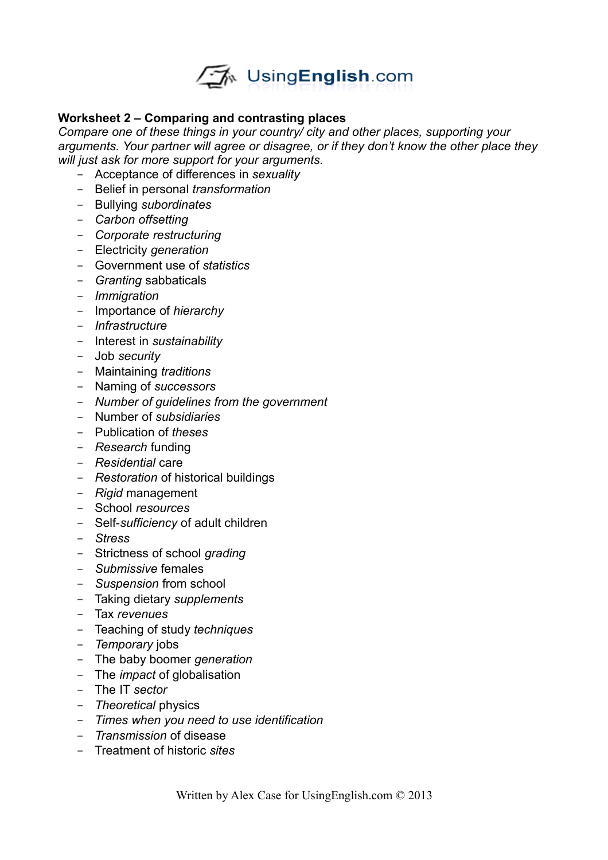

# **Worksheet 2 – Comparing and contrasting places**

*Compare one of these things in your country/ city and other places, supporting your arguments. Your partner will agree or disagree, or if they don't know the other place they will just ask for more support for your arguments.*

- Acceptance of differences in *sexuality*
- Belief in personal *transformation*
- Bullying *subordinates*
- *Carbon offsetting*
- *Corporate restructuring*
- Electricity *generation*
- Government use of *statistics*
- *Granting* sabbaticals
- *Immigration*
- Importance of *hierarchy*
- *Infrastructure*
- Interest in *sustainability*
- Job *security*
- Maintaining *traditions*
- Naming of *successors*
- *Number of guidelines from the government*
- Number of *subsidiaries*
- Publication of *theses*
- *Research* funding
- *Residential* care
- *Restoration* of historical buildings
- *Rigid* management
- School *resources*
- Self-*sufficiency* of adult children
- *Stress*
- Strictness of school *grading*
- *Submissive* females
- *Suspension* from school
- Taking dietary *supplements*
- Tax *revenues*
- Teaching of study *techniques*
- *Temporary* jobs
- The baby boomer *generation*
- The *impact* of globalisation
- The IT *sector*
- *Theoretical* physics
- *Times when you need to use identification*
- *Transmission* of disease
- Treatment of historic *sites*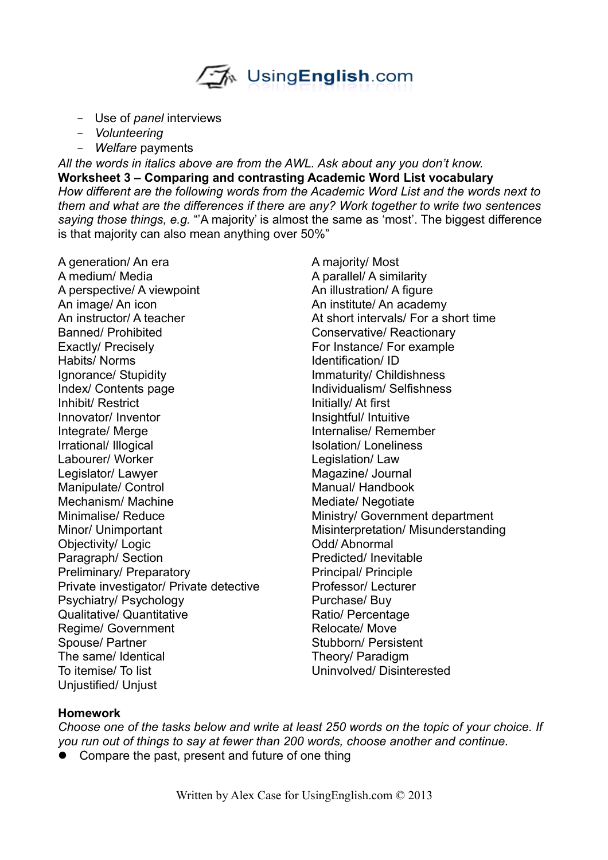

- Use of *panel* interviews
- *Volunteering*
- *Welfare* payments

*All the words in italics above are from the AWL. Ask about any you don't know.* **Worksheet 3 – Comparing and contrasting Academic Word List vocabulary** *How different are the following words from the Academic Word List and the words next to them and what are the differences if there are any? Work together to write two sentences saying those things, e.g.* "'A majority' is almost the same as 'most'. The biggest difference is that majority can also mean anything over 50%"

A generation/ An era A majority/ Most A medium/ Media A parallel/ A similarity A perspective/ A viewpoint An illustration/ A figure An image/ An icon An institute/ An academy An instructor/ A teacher At short intervals/ For a short time Banned/ Prohibited Conservative/ Reactionary Exactly/ Precisely For Instance/ For example Habits/ Norms Identification/ ID Ignorance/ Stupidity **Immaturity/ Childishness** Index/ Contents page Individualism/ Selfishness Inhibit/ Restrict Initially/ At first Innovator/ Inventor **Insightful/ Intuitive** Integrate/ Merge **Integrate/** Merge Internalise/ Remember Irrational/ Illogical interventional Isolation/ Loneliness Labourer/ Worker **Legislation** Legislation/ Law Legislator/ Lawyer Magazine/ Journal Manipulate/ Control Manual/ Handbook Mechanism/ Machine Mediate/ Negotiate Minimalise/ Reduce Ministry/ Government department Minor/ Unimportant Misinterpretation/ Misunderstanding Objectivity/ Logic **Community** Odd/ Abnormal Paragraph/ Section **Predicted** / Inevitable Preliminary/ Preparatory Presential Principal/ Principle Private investigator/ Private detective Professor/ Lecturer Psychiatry/ Psychology Purchase/ Buy Qualitative/ Quantitative Contraction Ratio/ Percentage Regime/ Government Relocate/ Move Spouse/ Partner Stubborn/ Persistent The same/ Identical Theory/ Paradigm To itemise/ To list Uninvolved/ Disinterested Unjustified/ Unjust

#### **Homework**

*Choose one of the tasks below and write at least 250 words on the topic of your choice. If you run out of things to say at fewer than 200 words, choose another and continue.*

• Compare the past, present and future of one thing